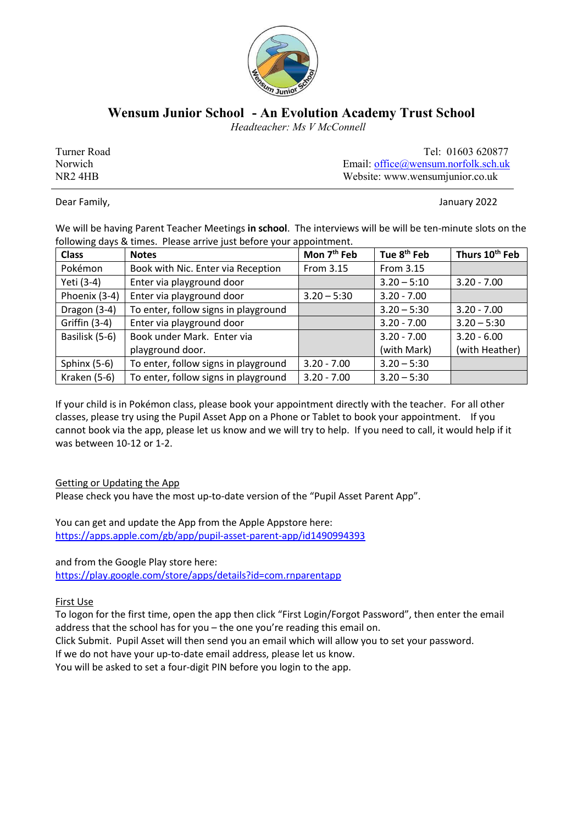

## **Wensum Junior School - An Evolution Academy Trust School**

 *Headteacher: Ms V McConnell*

Turner Road Tel: 01603 620877 Norwich Email: office@wensum.norfolk.sch.uk NR2 4HB Website: www.wensumjunior.co.uk

Dear Family, **Dear Family, the Contract of Contract Contract of Contract Contract Contract Contract Contract Contract Contract Contract Contract Contract Contract Contract Contract Contract Contract Contract Contract Contr** 

We will be having Parent Teacher Meetings **in school**. The interviews will be will be ten-minute slots on the following days & times. Please arrive just before your appointment.

| <b>Class</b>   | <b>Notes</b>                         | Mon 7 <sup>th</sup> Feb | Tue 8 <sup>th</sup> Feb | Thurs 10 <sup>th</sup> Feb |
|----------------|--------------------------------------|-------------------------|-------------------------|----------------------------|
| Pokémon        | Book with Nic. Enter via Reception   | From 3.15               | From 3.15               |                            |
| Yeti (3-4)     | Enter via playground door            |                         | $3.20 - 5:10$           | $3.20 - 7.00$              |
| Phoenix (3-4)  | Enter via playground door            | $3.20 - 5:30$           | $3.20 - 7.00$           |                            |
| Dragon (3-4)   | To enter, follow signs in playground |                         | $3.20 - 5:30$           | $3.20 - 7.00$              |
| Griffin (3-4)  | Enter via playground door            |                         | $3.20 - 7.00$           | $3.20 - 5:30$              |
| Basilisk (5-6) | Book under Mark. Enter via           |                         | $3.20 - 7.00$           | $3.20 - 6.00$              |
|                | playground door.                     |                         | (with Mark)             | (with Heather)             |
| Sphinx $(5-6)$ | To enter, follow signs in playground | $3.20 - 7.00$           | $3.20 - 5:30$           |                            |
| Kraken (5-6)   | To enter, follow signs in playground | $3.20 - 7.00$           | $3.20 - 5:30$           |                            |

If your child is in Pokémon class, please book your appointment directly with the teacher. For all other classes, please try using the Pupil Asset App on a Phone or Tablet to book your appointment. If you cannot book via the app, please let us know and we will try to help. If you need to call, it would help if it was between 10-12 or 1-2.

## Getting or Updating the App

Please check you have the most up-to-date version of the "Pupil Asset Parent App".

You can get and update the App from the Apple Appstore here: https://apps.apple.com/gb/app/pupil-asset-parent-app/id1490994393

and from the Google Play store here:

https://play.google.com/store/apps/details?id=com.rnparentapp

First Use

To logon for the first time, open the app then click "First Login/Forgot Password", then enter the email address that the school has for you – the one you're reading this email on.

Click Submit. Pupil Asset will then send you an email which will allow you to set your password.

If we do not have your up-to-date email address, please let us know.

You will be asked to set a four-digit PIN before you login to the app.